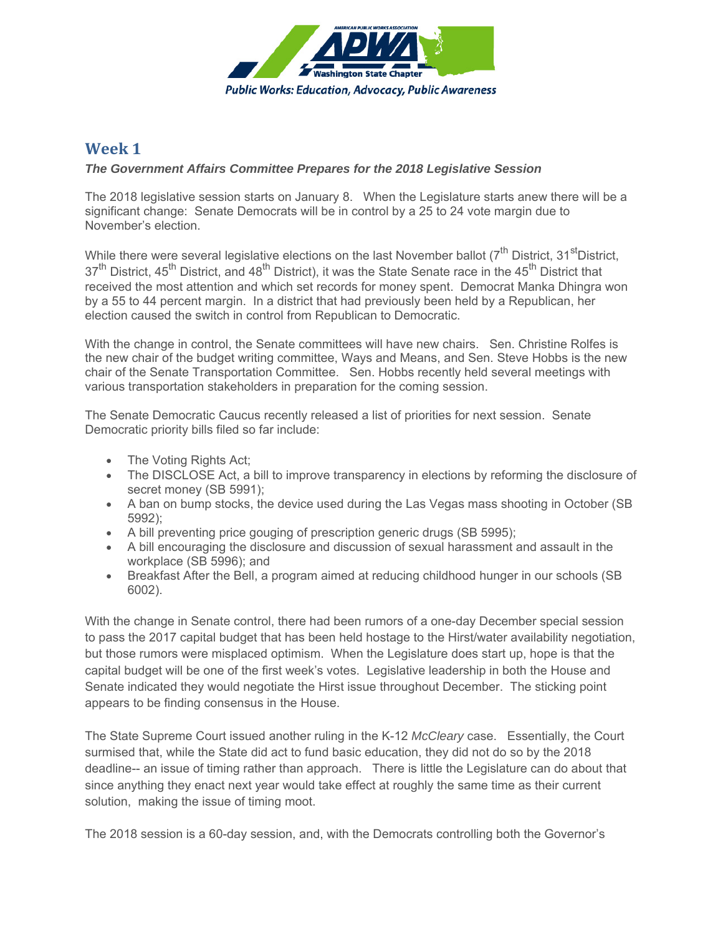

# **Week 1**

### *The Government Affairs Committee Prepares for the 2018 Legislative Session*

The 2018 legislative session starts on January 8. When the Legislature starts anew there will be a significant change: Senate Democrats will be in control by a 25 to 24 vote margin due to November's election.

While there were several legislative elections on the last November ballot ( $7<sup>th</sup>$  District, 31<sup>st</sup>District, 37<sup>th</sup> District, 45<sup>th</sup> District, and 48<sup>th</sup> District), it was the State Senate race in the 45<sup>th</sup> District that received the most attention and which set records for money spent. Democrat Manka Dhingra won by a 55 to 44 percent margin. In a district that had previously been held by a Republican, her election caused the switch in control from Republican to Democratic.

With the change in control, the Senate committees will have new chairs. Sen. Christine Rolfes is the new chair of the budget writing committee, Ways and Means, and Sen. Steve Hobbs is the new chair of the Senate Transportation Committee. Sen. Hobbs recently held several meetings with various transportation stakeholders in preparation for the coming session.

The Senate Democratic Caucus recently released a list of priorities for next session. Senate Democratic priority bills filed so far include:

- The Voting Rights Act;
- The DISCLOSE Act, a bill to improve transparency in elections by reforming the disclosure of secret money (SB 5991);
- A ban on bump stocks, the device used during the Las Vegas mass shooting in October (SB 5992);
- A bill preventing price gouging of prescription generic drugs (SB 5995);
- A bill encouraging the disclosure and discussion of sexual harassment and assault in the workplace (SB 5996); and
- Breakfast After the Bell, a program aimed at reducing childhood hunger in our schools (SB 6002).

With the change in Senate control, there had been rumors of a one-day December special session to pass the 2017 capital budget that has been held hostage to the Hirst/water availability negotiation, but those rumors were misplaced optimism. When the Legislature does start up, hope is that the capital budget will be one of the first week's votes. Legislative leadership in both the House and Senate indicated they would negotiate the Hirst issue throughout December. The sticking point appears to be finding consensus in the House.

The State Supreme Court issued another ruling in the K-12 *McCleary* case. Essentially, the Court surmised that, while the State did act to fund basic education, they did not do so by the 2018 deadline-- an issue of timing rather than approach. There is little the Legislature can do about that since anything they enact next year would take effect at roughly the same time as their current solution, making the issue of timing moot.

The 2018 session is a 60-day session, and, with the Democrats controlling both the Governor's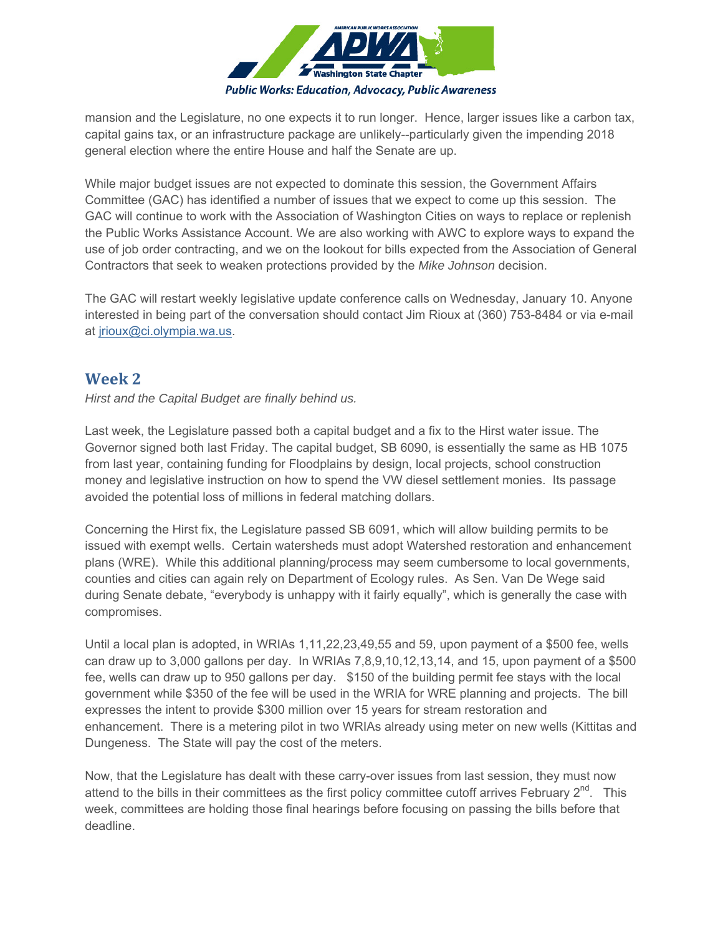

mansion and the Legislature, no one expects it to run longer. Hence, larger issues like a carbon tax, capital gains tax, or an infrastructure package are unlikely--particularly given the impending 2018 general election where the entire House and half the Senate are up.

While major budget issues are not expected to dominate this session, the Government Affairs Committee (GAC) has identified a number of issues that we expect to come up this session. The GAC will continue to work with the Association of Washington Cities on ways to replace or replenish the Public Works Assistance Account. We are also working with AWC to explore ways to expand the use of job order contracting, and we on the lookout for bills expected from the Association of General Contractors that seek to weaken protections provided by the *Mike Johnson* decision.

The GAC will restart weekly legislative update conference calls on Wednesday, January 10. Anyone interested in being part of the conversation should contact Jim Rioux at (360) 753-8484 or via e-mail at jrioux@ci.olympia.wa.us.

## **Week 2**

*Hirst and the Capital Budget are finally behind us.*

Last week, the Legislature passed both a capital budget and a fix to the Hirst water issue. The Governor signed both last Friday. The capital budget, SB 6090, is essentially the same as HB 1075 from last year, containing funding for Floodplains by design, local projects, school construction money and legislative instruction on how to spend the VW diesel settlement monies. Its passage avoided the potential loss of millions in federal matching dollars.

Concerning the Hirst fix, the Legislature passed SB 6091, which will allow building permits to be issued with exempt wells. Certain watersheds must adopt Watershed restoration and enhancement plans (WRE). While this additional planning/process may seem cumbersome to local governments, counties and cities can again rely on Department of Ecology rules. As Sen. Van De Wege said during Senate debate, "everybody is unhappy with it fairly equally", which is generally the case with compromises.

Until a local plan is adopted, in WRIAs 1,11,22,23,49,55 and 59, upon payment of a \$500 fee, wells can draw up to 3,000 gallons per day. In WRIAs 7,8,9,10,12,13,14, and 15, upon payment of a \$500 fee, wells can draw up to 950 gallons per day. \$150 of the building permit fee stays with the local government while \$350 of the fee will be used in the WRIA for WRE planning and projects. The bill expresses the intent to provide \$300 million over 15 years for stream restoration and enhancement. There is a metering pilot in two WRIAs already using meter on new wells (Kittitas and Dungeness. The State will pay the cost of the meters.

Now, that the Legislature has dealt with these carry-over issues from last session, they must now attend to the bills in their committees as the first policy committee cutoff arrives February 2<sup>nd</sup>. This week, committees are holding those final hearings before focusing on passing the bills before that deadline.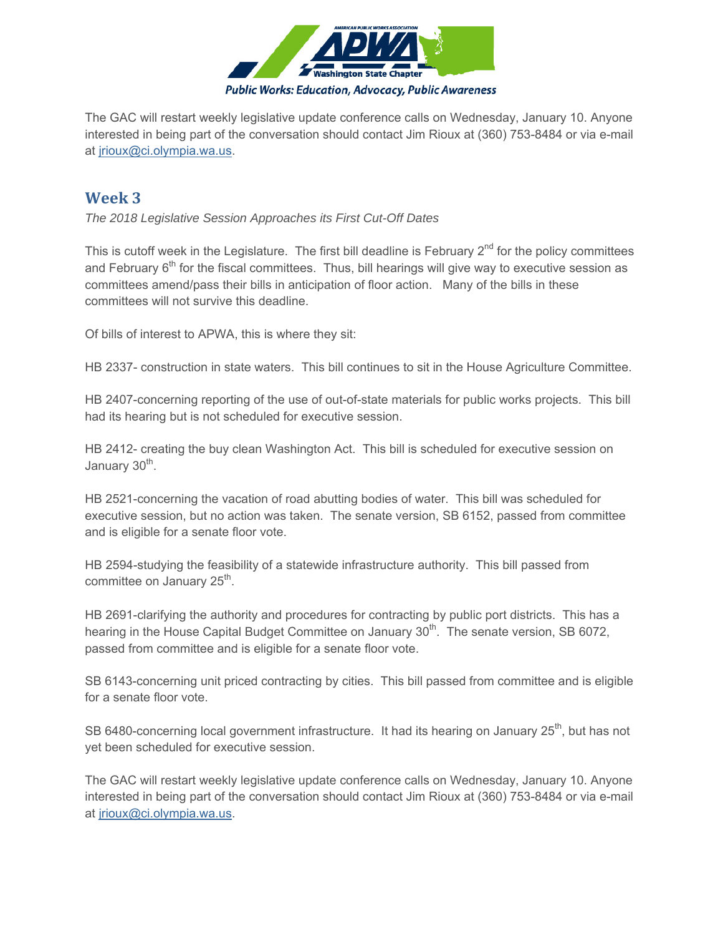

The GAC will restart weekly legislative update conference calls on Wednesday, January 10. Anyone interested in being part of the conversation should contact Jim Rioux at (360) 753-8484 or via e-mail at jrioux@ci.olympia.wa.us.

## **Week 3**

*The 2018 Legislative Session Approaches its First Cut-Off Dates*

This is cutoff week in the Legislature. The first bill deadline is February  $2^{nd}$  for the policy committees and February 6<sup>th</sup> for the fiscal committees. Thus, bill hearings will give way to executive session as committees amend/pass their bills in anticipation of floor action. Many of the bills in these committees will not survive this deadline.

Of bills of interest to APWA, this is where they sit:

HB 2337- construction in state waters. This bill continues to sit in the House Agriculture Committee.

HB 2407-concerning reporting of the use of out-of-state materials for public works projects. This bill had its hearing but is not scheduled for executive session.

HB 2412- creating the buy clean Washington Act. This bill is scheduled for executive session on January 30<sup>th</sup>.

HB 2521-concerning the vacation of road abutting bodies of water. This bill was scheduled for executive session, but no action was taken. The senate version, SB 6152, passed from committee and is eligible for a senate floor vote.

HB 2594-studying the feasibility of a statewide infrastructure authority. This bill passed from committee on January  $25<sup>th</sup>$ .

HB 2691-clarifying the authority and procedures for contracting by public port districts. This has a hearing in the House Capital Budget Committee on January 30<sup>th</sup>. The senate version, SB 6072, passed from committee and is eligible for a senate floor vote.

SB 6143-concerning unit priced contracting by cities. This bill passed from committee and is eligible for a senate floor vote.

SB 6480-concerning local government infrastructure. It had its hearing on January 25<sup>th</sup>, but has not yet been scheduled for executive session.

The GAC will restart weekly legislative update conference calls on Wednesday, January 10. Anyone interested in being part of the conversation should contact Jim Rioux at (360) 753-8484 or via e-mail at jrioux@ci.olympia.wa.us.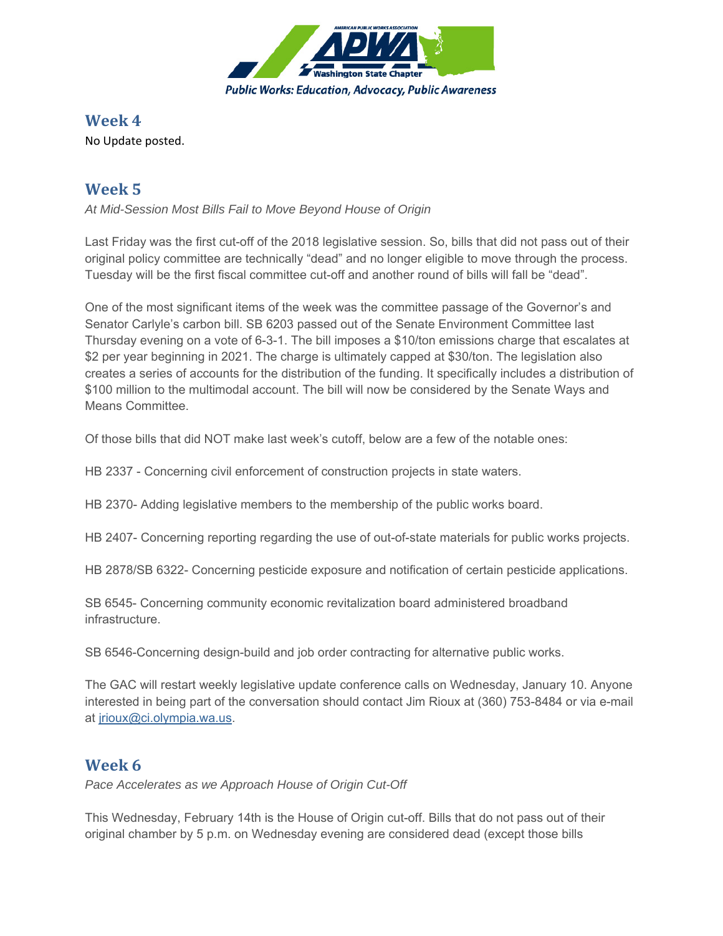

## **Week 4**

No Update posted.

# **Week 5**

*At Mid-Session Most Bills Fail to Move Beyond House of Origin*

Last Friday was the first cut-off of the 2018 legislative session. So, bills that did not pass out of their original policy committee are technically "dead" and no longer eligible to move through the process. Tuesday will be the first fiscal committee cut-off and another round of bills will fall be "dead".

One of the most significant items of the week was the committee passage of the Governor's and Senator Carlyle's carbon bill. SB 6203 passed out of the Senate Environment Committee last Thursday evening on a vote of 6-3-1. The bill imposes a \$10/ton emissions charge that escalates at \$2 per year beginning in 2021. The charge is ultimately capped at \$30/ton. The legislation also creates a series of accounts for the distribution of the funding. It specifically includes a distribution of \$100 million to the multimodal account. The bill will now be considered by the Senate Ways and Means Committee.

Of those bills that did NOT make last week's cutoff, below are a few of the notable ones:

HB 2337 - Concerning civil enforcement of construction projects in state waters.

HB 2370- Adding legislative members to the membership of the public works board.

HB 2407- Concerning reporting regarding the use of out-of-state materials for public works projects.

HB 2878/SB 6322- Concerning pesticide exposure and notification of certain pesticide applications.

SB 6545- Concerning community economic revitalization board administered broadband infrastructure.

SB 6546-Concerning design-build and job order contracting for alternative public works.

The GAC will restart weekly legislative update conference calls on Wednesday, January 10. Anyone interested in being part of the conversation should contact Jim Rioux at (360) 753-8484 or via e-mail at jrioux@ci.olympia.wa.us.

## **Week 6**

*Pace Accelerates as we Approach House of Origin Cut-Off*

This Wednesday, February 14th is the House of Origin cut-off. Bills that do not pass out of their original chamber by 5 p.m. on Wednesday evening are considered dead (except those bills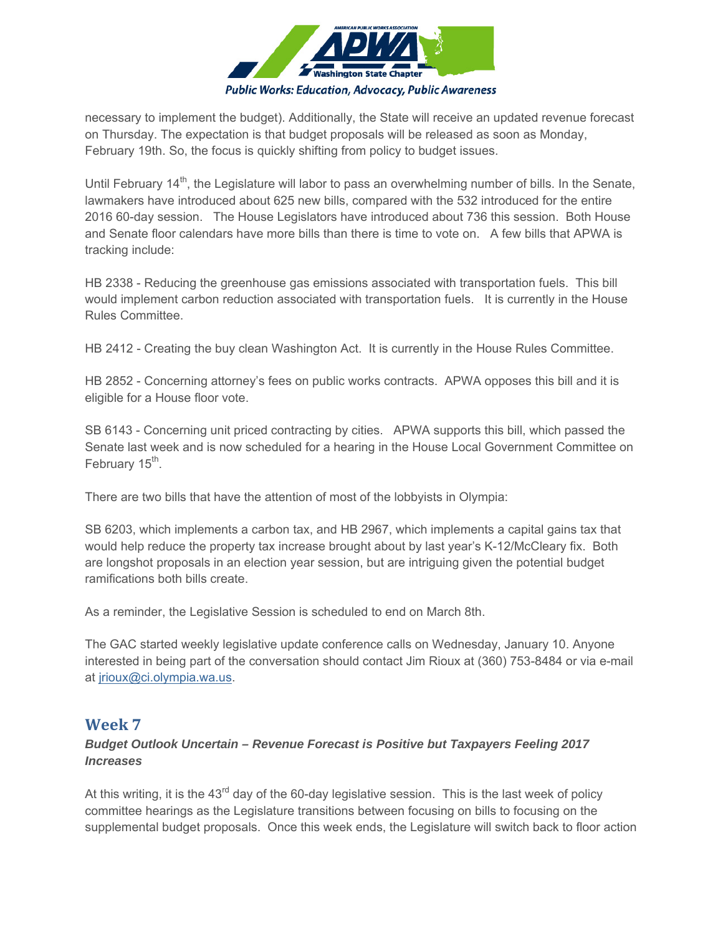

necessary to implement the budget). Additionally, the State will receive an updated revenue forecast on Thursday. The expectation is that budget proposals will be released as soon as Monday, February 19th. So, the focus is quickly shifting from policy to budget issues.

Until February 14<sup>th</sup>, the Legislature will labor to pass an overwhelming number of bills. In the Senate, lawmakers have introduced about 625 new bills, compared with the 532 introduced for the entire 2016 60-day session. The House Legislators have introduced about 736 this session. Both House and Senate floor calendars have more bills than there is time to vote on. A few bills that APWA is tracking include:

HB 2338 - Reducing the greenhouse gas emissions associated with transportation fuels. This bill would implement carbon reduction associated with transportation fuels. It is currently in the House Rules Committee.

HB 2412 - Creating the buy clean Washington Act. It is currently in the House Rules Committee.

HB 2852 - Concerning attorney's fees on public works contracts. APWA opposes this bill and it is eligible for a House floor vote.

SB 6143 - Concerning unit priced contracting by cities. APWA supports this bill, which passed the Senate last week and is now scheduled for a hearing in the House Local Government Committee on February  $15<sup>th</sup>$ .

There are two bills that have the attention of most of the lobbyists in Olympia:

SB 6203, which implements a carbon tax, and HB 2967, which implements a capital gains tax that would help reduce the property tax increase brought about by last year's K-12/McCleary fix. Both are longshot proposals in an election year session, but are intriguing given the potential budget ramifications both bills create.

As a reminder, the Legislative Session is scheduled to end on March 8th.

The GAC started weekly legislative update conference calls on Wednesday, January 10. Anyone interested in being part of the conversation should contact Jim Rioux at (360) 753-8484 or via e-mail at jrioux@ci.olympia.wa.us.

### **Week 7**

### *Budget Outlook Uncertain – Revenue Forecast is Positive but Taxpayers Feeling 2017 Increases*

At this writing, it is the  $43<sup>rd</sup>$  day of the 60-day legislative session. This is the last week of policy committee hearings as the Legislature transitions between focusing on bills to focusing on the supplemental budget proposals. Once this week ends, the Legislature will switch back to floor action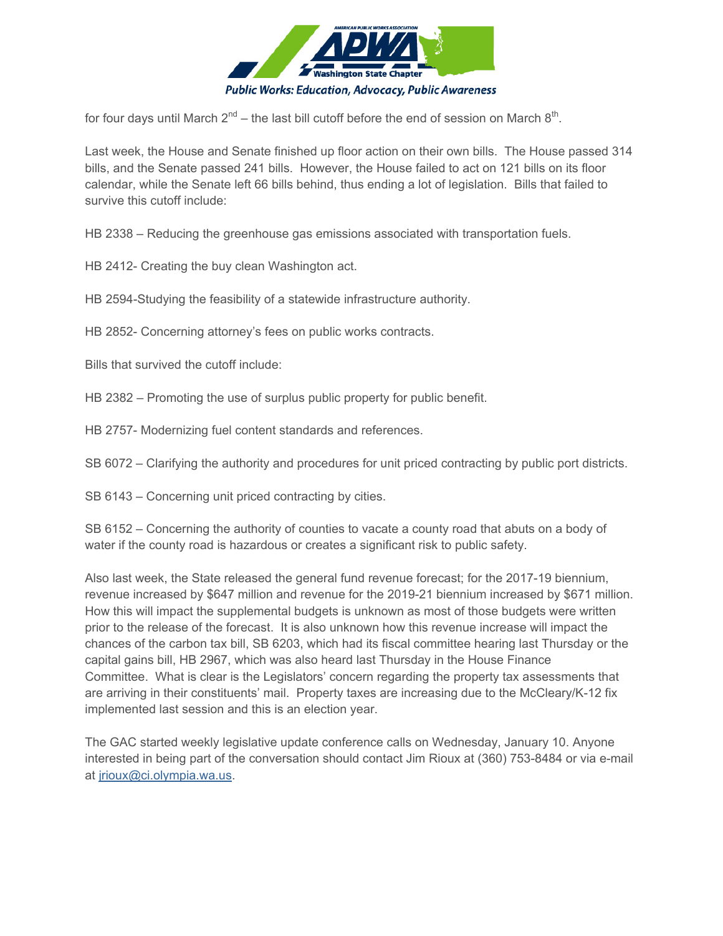

for four days until March  $2^{nd}$  – the last bill cutoff before the end of session on March  $8^{th}$ .

Last week, the House and Senate finished up floor action on their own bills. The House passed 314 bills, and the Senate passed 241 bills. However, the House failed to act on 121 bills on its floor calendar, while the Senate left 66 bills behind, thus ending a lot of legislation. Bills that failed to survive this cutoff include:

HB 2338 – Reducing the greenhouse gas emissions associated with transportation fuels.

HB 2412- Creating the buy clean Washington act.

HB 2594-Studying the feasibility of a statewide infrastructure authority.

HB 2852- Concerning attorney's fees on public works contracts.

Bills that survived the cutoff include:

HB 2382 – Promoting the use of surplus public property for public benefit.

HB 2757- Modernizing fuel content standards and references.

SB 6072 – Clarifying the authority and procedures for unit priced contracting by public port districts.

SB 6143 – Concerning unit priced contracting by cities.

SB 6152 – Concerning the authority of counties to vacate a county road that abuts on a body of water if the county road is hazardous or creates a significant risk to public safety.

Also last week, the State released the general fund revenue forecast; for the 2017-19 biennium, revenue increased by \$647 million and revenue for the 2019-21 biennium increased by \$671 million. How this will impact the supplemental budgets is unknown as most of those budgets were written prior to the release of the forecast. It is also unknown how this revenue increase will impact the chances of the carbon tax bill, SB 6203, which had its fiscal committee hearing last Thursday or the capital gains bill, HB 2967, which was also heard last Thursday in the House Finance Committee. What is clear is the Legislators' concern regarding the property tax assessments that are arriving in their constituents' mail. Property taxes are increasing due to the McCleary/K-12 fix implemented last session and this is an election year.

The GAC started weekly legislative update conference calls on Wednesday, January 10. Anyone interested in being part of the conversation should contact Jim Rioux at (360) 753-8484 or via e-mail at jrioux@ci.olympia.wa.us.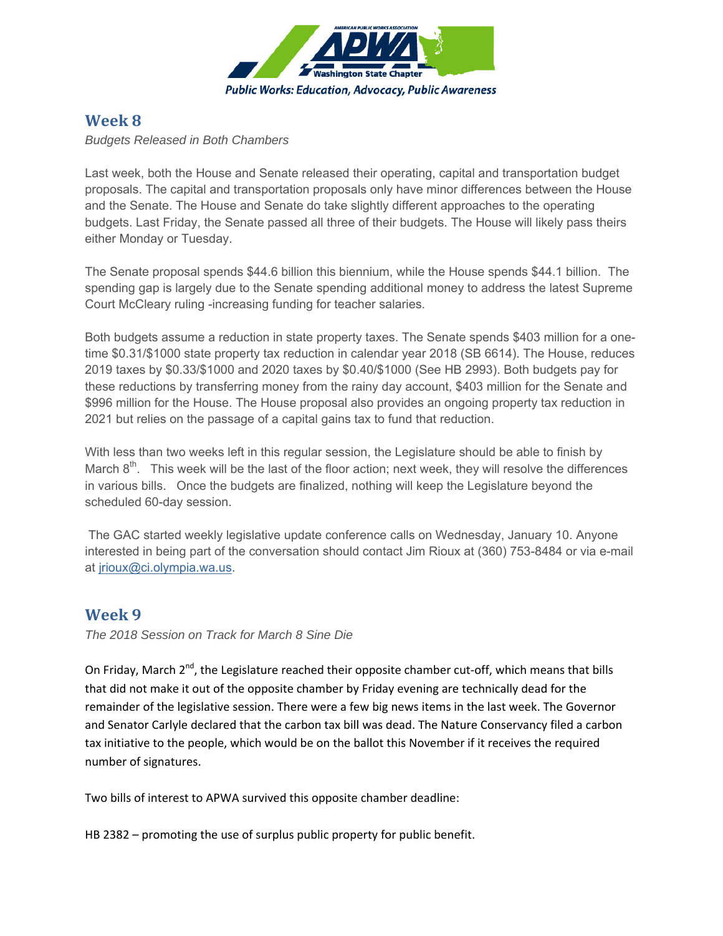

## **Week 8**

*Budgets Released in Both Chambers*

Last week, both the House and Senate released their operating, capital and transportation budget proposals. The capital and transportation proposals only have minor differences between the House and the Senate. The House and Senate do take slightly different approaches to the operating budgets. Last Friday, the Senate passed all three of their budgets. The House will likely pass theirs either Monday or Tuesday.

The Senate proposal spends \$44.6 billion this biennium, while the House spends \$44.1 billion. The spending gap is largely due to the Senate spending additional money to address the latest Supreme Court McCleary ruling -increasing funding for teacher salaries.

Both budgets assume a reduction in state property taxes. The Senate spends \$403 million for a onetime \$0.31/\$1000 state property tax reduction in calendar year 2018 (SB 6614). The House, reduces 2019 taxes by \$0.33/\$1000 and 2020 taxes by \$0.40/\$1000 (See HB 2993). Both budgets pay for these reductions by transferring money from the rainy day account, \$403 million for the Senate and \$996 million for the House. The House proposal also provides an ongoing property tax reduction in 2021 but relies on the passage of a capital gains tax to fund that reduction.

With less than two weeks left in this regular session, the Legislature should be able to finish by March  $8<sup>th</sup>$ . This week will be the last of the floor action; next week, they will resolve the differences in various bills. Once the budgets are finalized, nothing will keep the Legislature beyond the scheduled 60-day session.

 The GAC started weekly legislative update conference calls on Wednesday, January 10. Anyone interested in being part of the conversation should contact Jim Rioux at (360) 753-8484 or via e-mail at jrioux@ci.olympia.wa.us.

### **Week 9**

*The 2018 Session on Track for March 8 Sine Die* 

On Friday, March 2<sup>nd</sup>, the Legislature reached their opposite chamber cut-off, which means that bills that did not make it out of the opposite chamber by Friday evening are technically dead for the remainder of the legislative session. There were a few big news items in the last week. The Governor and Senator Carlyle declared that the carbon tax bill was dead. The Nature Conservancy filed a carbon tax initiative to the people, which would be on the ballot this November if it receives the required number of signatures.

Two bills of interest to APWA survived this opposite chamber deadline:

HB 2382 – promoting the use of surplus public property for public benefit.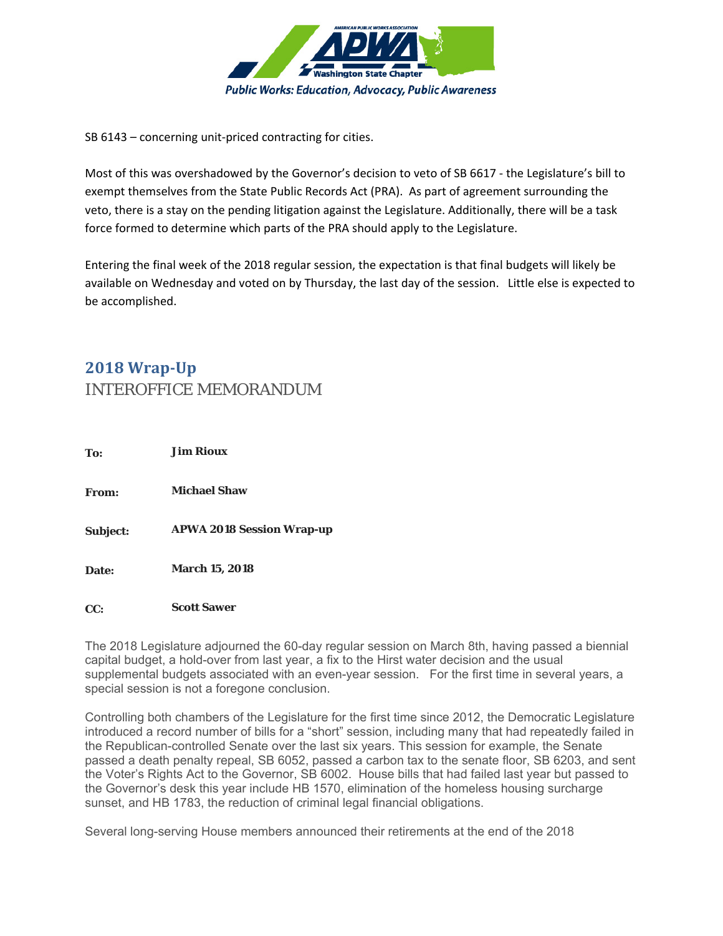

SB 6143 – concerning unit-priced contracting for cities.

Most of this was overshadowed by the Governor's decision to veto of SB 6617 ‐ the Legislature's bill to exempt themselves from the State Public Records Act (PRA). As part of agreement surrounding the veto, there is a stay on the pending litigation against the Legislature. Additionally, there will be a task force formed to determine which parts of the PRA should apply to the Legislature.

Entering the final week of the 2018 regular session, the expectation is that final budgets will likely be available on Wednesday and voted on by Thursday, the last day of the session. Little else is expected to be accomplished.

# **2018 Wrap‐Up** INTEROFFICE MEMORANDUM

| To:      | <b>Jim Rioux</b>                 |
|----------|----------------------------------|
| From:    | <b>Michael Shaw</b>              |
| Subject: | <b>APWA 2018 Session Wrap-up</b> |
| Date:    | <b>March 15, 2018</b>            |
| CC:      | <b>Scott Sawer</b>               |

The 2018 Legislature adjourned the 60-day regular session on March 8th, having passed a biennial capital budget, a hold-over from last year, a fix to the Hirst water decision and the usual supplemental budgets associated with an even-year session. For the first time in several years, a special session is not a foregone conclusion.

Controlling both chambers of the Legislature for the first time since 2012, the Democratic Legislature introduced a record number of bills for a "short" session, including many that had repeatedly failed in the Republican-controlled Senate over the last six years. This session for example, the Senate passed a death penalty repeal, SB 6052, passed a carbon tax to the senate floor, SB 6203, and sent the Voter's Rights Act to the Governor, SB 6002. House bills that had failed last year but passed to the Governor's desk this year include HB 1570, elimination of the homeless housing surcharge sunset, and HB 1783, the reduction of criminal legal financial obligations.

Several long-serving House members announced their retirements at the end of the 2018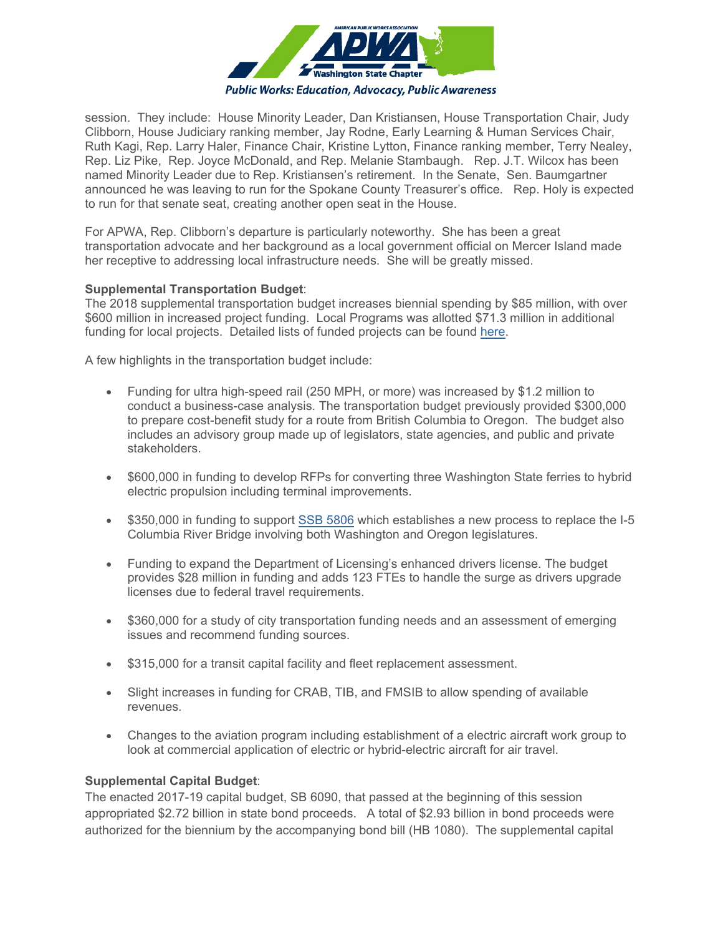

session. They include: House Minority Leader, Dan Kristiansen, House Transportation Chair, Judy Clibborn, House Judiciary ranking member, Jay Rodne, Early Learning & Human Services Chair, Ruth Kagi, Rep. Larry Haler, Finance Chair, Kristine Lytton, Finance ranking member, Terry Nealey, Rep. Liz Pike, Rep. Joyce McDonald, and Rep. Melanie Stambaugh. Rep. J.T. Wilcox has been named Minority Leader due to Rep. Kristiansen's retirement. In the Senate, Sen. Baumgartner announced he was leaving to run for the Spokane County Treasurer's office. Rep. Holy is expected to run for that senate seat, creating another open seat in the House.

For APWA, Rep. Clibborn's departure is particularly noteworthy. She has been a great transportation advocate and her background as a local government official on Mercer Island made her receptive to addressing local infrastructure needs. She will be greatly missed.

#### **Supplemental Transportation Budget**:

The 2018 supplemental transportation budget increases biennial spending by \$85 million, with over \$600 million in increased project funding. Local Programs was allotted \$71.3 million in additional funding for local projects. Detailed lists of funded projects can be found here.

A few highlights in the transportation budget include:

- Funding for ultra high-speed rail (250 MPH, or more) was increased by \$1.2 million to conduct a business-case analysis. The transportation budget previously provided \$300,000 to prepare cost-benefit study for a route from British Columbia to Oregon. The budget also includes an advisory group made up of legislators, state agencies, and public and private stakeholders.
- \$600,000 in funding to develop RFPs for converting three Washington State ferries to hybrid electric propulsion including terminal improvements.
- \$350,000 in funding to support SSB 5806 which establishes a new process to replace the I-5 Columbia River Bridge involving both Washington and Oregon legislatures.
- Funding to expand the Department of Licensing's enhanced drivers license. The budget provides \$28 million in funding and adds 123 FTEs to handle the surge as drivers upgrade licenses due to federal travel requirements.
- \$360,000 for a study of city transportation funding needs and an assessment of emerging issues and recommend funding sources.
- \$315,000 for a transit capital facility and fleet replacement assessment.
- Slight increases in funding for CRAB, TIB, and FMSIB to allow spending of available revenues.
- Changes to the aviation program including establishment of a electric aircraft work group to look at commercial application of electric or hybrid-electric aircraft for air travel.

#### **Supplemental Capital Budget**:

The enacted 2017-19 capital budget, SB 6090, that passed at the beginning of this session appropriated \$2.72 billion in state bond proceeds. A total of \$2.93 billion in bond proceeds were authorized for the biennium by the accompanying bond bill (HB 1080). The supplemental capital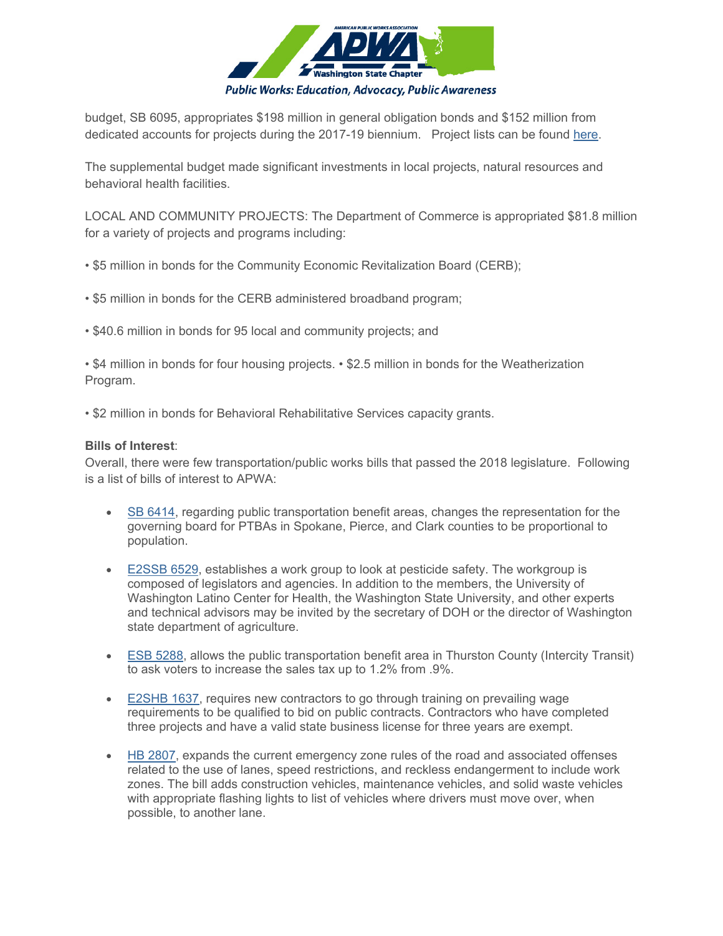

budget, SB 6095, appropriates \$198 million in general obligation bonds and \$152 million from dedicated accounts for projects during the 2017-19 biennium. Project lists can be found here.

The supplemental budget made significant investments in local projects, natural resources and behavioral health facilities.

LOCAL AND COMMUNITY PROJECTS: The Department of Commerce is appropriated \$81.8 million for a variety of projects and programs including:

- \$5 million in bonds for the Community Economic Revitalization Board (CERB);
- \$5 million in bonds for the CERB administered broadband program;
- \$40.6 million in bonds for 95 local and community projects; and

• \$4 million in bonds for four housing projects. • \$2.5 million in bonds for the Weatherization Program.

• \$2 million in bonds for Behavioral Rehabilitative Services capacity grants.

#### **Bills of Interest**:

Overall, there were few transportation/public works bills that passed the 2018 legislature. Following is a list of bills of interest to APWA:

- **SB 6414, regarding public transportation benefit areas, changes the representation for the** governing board for PTBAs in Spokane, Pierce, and Clark counties to be proportional to population.
- E2SSB 6529, establishes a work group to look at pesticide safety. The workgroup is composed of legislators and agencies. In addition to the members, the University of Washington Latino Center for Health, the Washington State University, and other experts and technical advisors may be invited by the secretary of DOH or the director of Washington state department of agriculture.
- ESB 5288, allows the public transportation benefit area in Thurston County (Intercity Transit) to ask voters to increase the sales tax up to 1.2% from .9%.
- E2SHB 1637, requires new contractors to go through training on prevailing wage requirements to be qualified to bid on public contracts. Contractors who have completed three projects and have a valid state business license for three years are exempt.
- HB 2807, expands the current emergency zone rules of the road and associated offenses related to the use of lanes, speed restrictions, and reckless endangerment to include work zones. The bill adds construction vehicles, maintenance vehicles, and solid waste vehicles with appropriate flashing lights to list of vehicles where drivers must move over, when possible, to another lane.